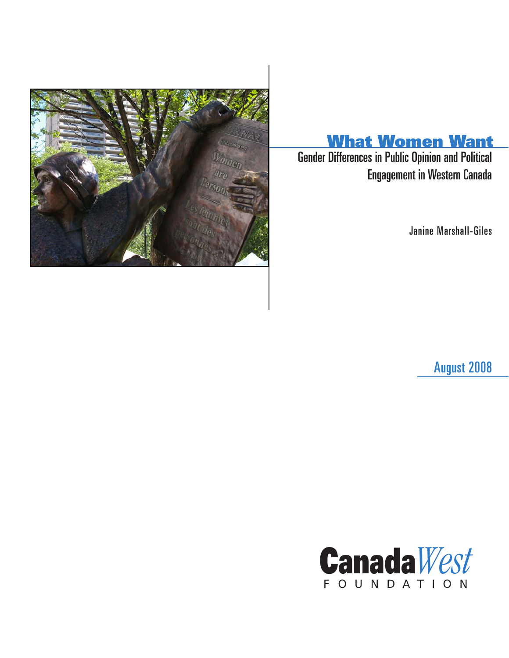

# What Women Want

**Gender Differences in Public Opinion and Political** Engagement in Western Canada

Janine Marshall-Giles

August 2008

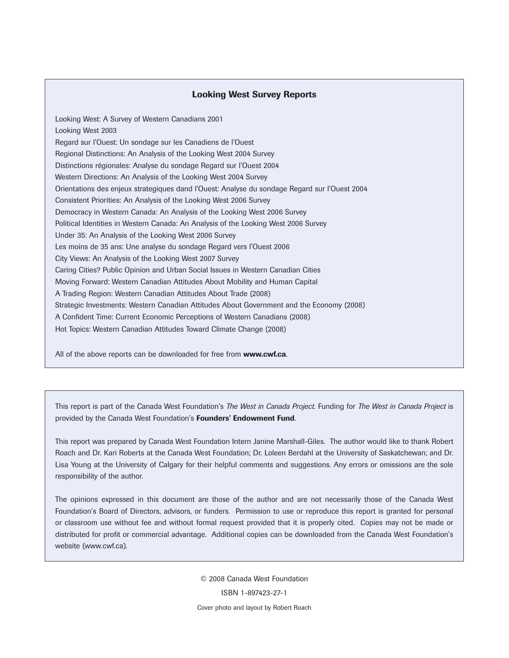### Looking West Survey Reports

Looking West: A Survey of Western Canadians 2001 Looking West 2003 Regard sur l'Ouest: Un sondage sur les Canadiens de l'Ouest Regional Distinctions: An Analysis of the Looking West 2004 Survey Distinctions régionales: Analyse du sondage Regard sur l'Ouest 2004 Western Directions: An Analysis of the Looking West 2004 Survey Orientations des enjeux strategiques dand l'Ouest: Analyse du sondage Regard sur l'Ouest 2004 Consistent Priorities: An Analysis of the Looking West 2006 Survey Democracy in Western Canada: An Analysis of the Looking West 2006 Survey Political Identities in Western Canada: An Analysis of the Looking West 2006 Survey Under 35: An Analysis of the Looking West 2006 Survey Les moins de 35 ans: Une analyse du sondage Regard vers l'Ouest 2006 City Views: An Analysis of the Looking West 2007 Survey Caring Cities? Public Opinion and Urban Social Issues in Western Canadian Cities Moving Forward: Western Canadian Attitudes About Mobility and Human Capital A Trading Region: Western Canadian Attitudes About Trade (2008) Strategic Investments: Western Canadian Attitudes About Government and the Economy (2008) A Confident Time: Current Economic Perceptions of Western Canadians (2008) Hot Topics: Western Canadian Attitudes Toward Climate Change (2008)

All of the above reports can be downloaded for free from **www.cwf.ca**.

This report is part of the Canada West Foundation's *The West in Canada Project.* Funding for *The West in Canada Project* is provided by the Canada West Foundation's Founders' Endowment Fund.

This report was prepared by Canada West Foundation Intern Janine Marshall-Giles. The author would like to thank Robert Roach and Dr. Kari Roberts at the Canada West Foundation; Dr. Loleen Berdahl at the University of Saskatchewan; and Dr. Lisa Young at the University of Calgary for their helpful comments and suggestions. Any errors or omissions are the sole responsibility of the author.

The opinions expressed in this document are those of the author and are not necessarily those of the Canada West Foundation's Board of Directors, advisors, or funders. Permission to use or reproduce this report is granted for personal or classroom use without fee and without formal request provided that it is properly cited. Copies may not be made or distributed for profit or commercial advantage. Additional copies can be downloaded from the Canada West Foundation's website (www.cwf.ca).

> © 2008 Canada West Foundation ISBN 1-897423-27-1 Cover photo and layout by Robert Roach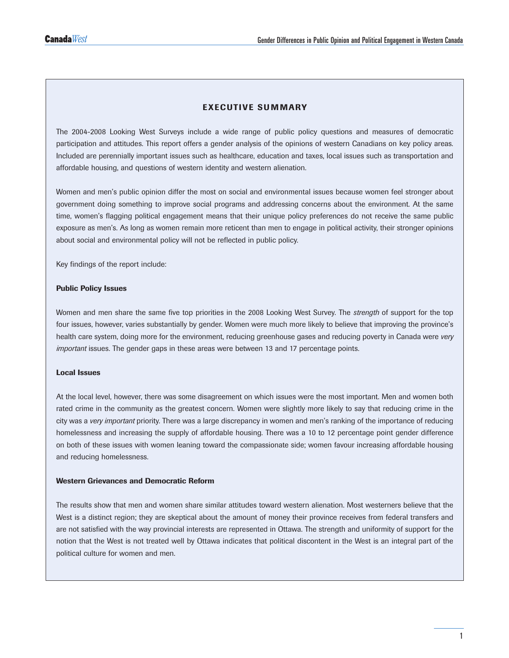### EXECUTIVE SUMMARY

The 2004-2008 Looking West Surveys include a wide range of public policy questions and measures of democratic participation and attitudes. This report offers a gender analysis of the opinions of western Canadians on key policy areas. Included are perennially important issues such as healthcare, education and taxes, local issues such as transportation and affordable housing, and questions of western identity and western alienation.

Women and men's public opinion differ the most on social and environmental issues because women feel stronger about government doing something to improve social programs and addressing concerns about the environment. At the same time, women's flagging political engagement means that their unique policy preferences do not receive the same public exposure as men's. As long as women remain more reticent than men to engage in political activity, their stronger opinions about social and environmental policy will not be reflected in public policy.

Key findings of the report include:

#### Public Policy Issues

Women and men share the same five top priorities in the 2008 Looking West Survey. The *strength* of support for the top four issues, however, varies substantially by gender. Women were much more likely to believe that improving the province's health care system, doing more for the environment, reducing greenhouse gases and reducing poverty in Canada were *very important* issues. The gender gaps in these areas were between 13 and 17 percentage points.

#### Local Issues

At the local level, however, there was some disagreement on which issues were the most important. Men and women both rated crime in the community as the greatest concern. Women were slightly more likely to say that reducing crime in the city was a *very important* priority. There was a large discrepancy in women and men's ranking of the importance of reducing homelessness and increasing the supply of affordable housing. There was a 10 to 12 percentage point gender difference on both of these issues with women leaning toward the compassionate side; women favour increasing affordable housing and reducing homelessness.

### Western Grievances and Democratic Reform

The results show that men and women share similar attitudes toward western alienation. Most westerners believe that the West is a distinct region; they are skeptical about the amount of money their province receives from federal transfers and are not satisfied with the way provincial interests are represented in Ottawa. The strength and uniformity of support for the notion that the West is not treated well by Ottawa indicates that political discontent in the West is an integral part of the political culture for women and men.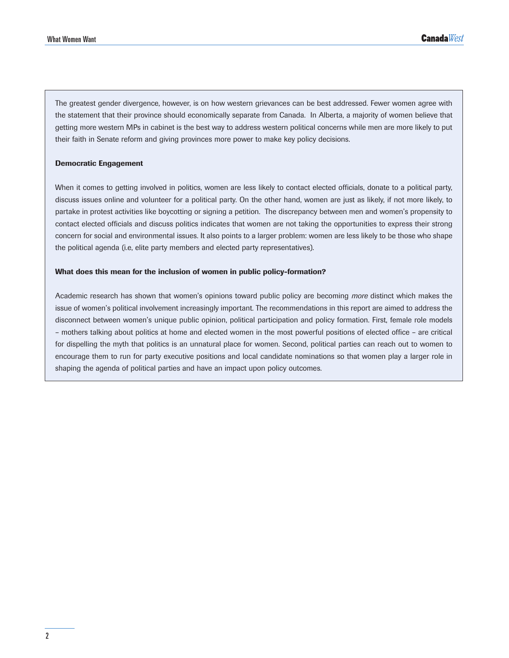The greatest gender divergence, however, is on how western grievances can be best addressed. Fewer women agree with the statement that their province should economically separate from Canada. In Alberta, a majority of women believe that getting more western MPs in cabinet is the best way to address western political concerns while men are more likely to put their faith in Senate reform and giving provinces more power to make key policy decisions.

#### Democratic Engagement

When it comes to getting involved in politics, women are less likely to contact elected officials, donate to a political party, discuss issues online and volunteer for a political party. On the other hand, women are just as likely, if not more likely, to partake in protest activities like boycotting or signing a petition. The discrepancy between men and women's propensity to contact elected officials and discuss politics indicates that women are not taking the opportunities to express their strong concern for social and environmental issues. It also points to a larger problem: women are less likely to be those who shape the political agenda (i.e, elite party members and elected party representatives).

#### What does this mean for the inclusion of women in public policy-formation?

Academic research has shown that women's opinions toward public policy are becoming *more* distinct which makes the issue of women's political involvement increasingly important. The recommendations in this report are aimed to address the disconnect between women's unique public opinion, political participation and policy formation. First, female role models – mothers talking about politics at home and elected women in the most powerful positions of elected office – are critical for dispelling the myth that politics is an unnatural place for women. Second, political parties can reach out to women to encourage them to run for party executive positions and local candidate nominations so that women play a larger role in shaping the agenda of political parties and have an impact upon policy outcomes.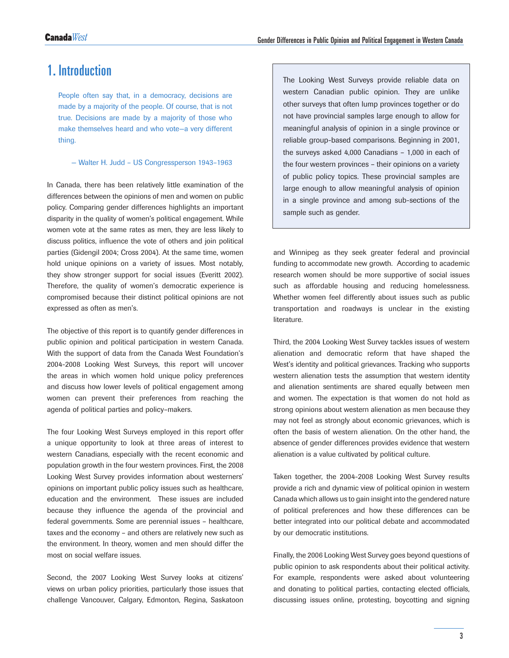### 1. Introduction

People often say that, in a democracy, decisions are made by a majority of the people. Of course, that is not true. Decisions are made by a majority of those who make themselves heard and who vote—a very different thing.

— Walter H. Judd – US Congressperson 1943–1963

In Canada, there has been relatively little examination of the differences between the opinions of men and women on public policy. Comparing gender differences highlights an important disparity in the quality of women's political engagement. While women vote at the same rates as men, they are less likely to discuss politics, influence the vote of others and join political parties (Gidengil 2004; Cross 2004). At the same time, women hold unique opinions on a variety of issues. Most notably, they show stronger support for social issues (Everitt 2002). Therefore, the quality of women's democratic experience is compromised because their distinct political opinions are not expressed as often as men's.

The objective of this report is to quantify gender differences in public opinion and political participation in western Canada. With the support of data from the Canada West Foundation's 2004-2008 Looking West Surveys, this report will uncover the areas in which women hold unique policy preferences and discuss how lower levels of political engagement among women can prevent their preferences from reaching the agenda of political parties and policy–makers.

The four Looking West Surveys employed in this report offer a unique opportunity to look at three areas of interest to western Canadians, especially with the recent economic and population growth in the four western provinces. First, the 2008 Looking West Survey provides information about westerners' opinions on important public policy issues such as healthcare, education and the environment. These issues are included because they influence the agenda of the provincial and federal governments. Some are perennial issues – healthcare, taxes and the economy – and others are relatively new such as the environment. In theory, women and men should differ the most on social welfare issues.

Second, the 2007 Looking West Survey looks at citizens' views on urban policy priorities, particularly those issues that challenge Vancouver, Calgary, Edmonton, Regina, Saskatoon The Looking West Surveys provide reliable data on western Canadian public opinion. They are unlike other surveys that often lump provinces together or do not have provincial samples large enough to allow for meaningful analysis of opinion in a single province or reliable group-based comparisons. Beginning in 2001, the surveys asked 4,000 Canadians – 1,000 in each of the four western provinces – their opinions on a variety of public policy topics. These provincial samples are large enough to allow meaningful analysis of opinion in a single province and among sub-sections of the sample such as gender.

and Winnipeg as they seek greater federal and provincial funding to accommodate new growth. According to academic research women should be more supportive of social issues such as affordable housing and reducing homelessness. Whether women feel differently about issues such as public transportation and roadways is unclear in the existing literature.

Third, the 2004 Looking West Survey tackles issues of western alienation and democratic reform that have shaped the West's identity and political grievances. Tracking who supports western alienation tests the assumption that western identity and alienation sentiments are shared equally between men and women. The expectation is that women do not hold as strong opinions about western alienation as men because they may not feel as strongly about economic grievances, which is often the basis of western alienation. On the other hand, the absence of gender differences provides evidence that western alienation is a value cultivated by political culture.

Taken together, the 2004-2008 Looking West Survey results provide a rich and dynamic view of political opinion in western Canada which allows us to gain insight into the gendered nature of political preferences and how these differences can be better integrated into our political debate and accommodated by our democratic institutions.

Finally, the 2006 Looking West Survey goes beyond questions of public opinion to ask respondents about their political activity. For example, respondents were asked about volunteering and donating to political parties, contacting elected officials, discussing issues online, protesting, boycotting and signing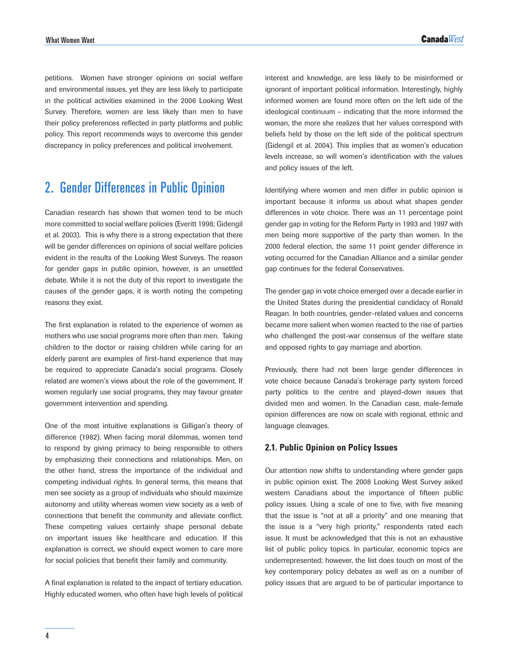petitions. Women have stronger opinions on social welfare and environmental issues, yet they are less likely to participate in the political activities examined in the 2006 Looking West Survey. Therefore, women are less likely than men to have their policy preferences reflected in party platforms and public policy. This report recommends ways to overcome this gender discrepancy in policy preferences and political involvement.

## 2. Gender Differences in Public Opinion

Canadian research has shown that women tend to be much more committed to social welfare policies (Everitt 1998; Gidengil et al. 2003). This is why there is a strong expectation that there will be gender differences on opinions of social welfare policies evident in the results of the Looking West Surveys. The reason for gender gaps in public opinion, however, is an unsettled debate. While it is not the duty of this report to investigate the causes of the gender gaps, it is worth noting the competing reasons they exist.

The first explanation is related to the experience of women as mothers who use social programs more often than men. Taking children to the doctor or raising children while caring for an elderly parent are examples of first-hand experience that may be required to appreciate Canada's social programs. Closely related are women's views about the role of the government. If women regularly use social programs, they may favour greater government intervention and spending.

One of the most intuitive explanations is Gilligan's theory of difference (1982). When facing moral dilemmas, women tend to respond by giving primacy to being responsible to others by emphasizing their connections and relationships. Men, on the other hand, stress the importance of the individual and competing individual rights. In general terms, this means that men see society as a group of individuals who should maximize autonomy and utility whereas women view society as a web of connections that benefit the community and alleviate conflict. These competing values certainly shape personal debate on important issues like healthcare and education. If this explanation is correct, we should expect women to care more for social policies that benefit their family and community.

A final explanation is related to the impact of tertiary education. Highly educated women, who often have high levels of political interest and knowledge, are less likely to be misinformed or ignorant of important political information. Interestingly, highly informed women are found more often on the left side of the ideological continuum – indicating that the more informed the woman, the more she realizes that her values correspond with beliefs held by those on the left side of the political spectrum (Gidengil et al. 2004). This implies that as women's education levels increase, so will women's identification with the values and policy issues of the left.

Identifying where women and men differ in public opinion is important because it informs us about what shapes gender differences in vote choice. There was an 11 percentage point gender gap in voting for the Reform Party in 1993 and 1997 with men being more supportive of the party than women. In the 2000 federal election, the same 11 point gender difference in voting occurred for the Canadian Alliance and a similar gender gap continues for the federal Conservatives.

The gender gap in vote choice emerged over a decade earlier in the United States during the presidential candidacy of Ronald Reagan. In both countries, gender-related values and concerns became more salient when women reacted to the rise of parties who challenged the post-war consensus of the welfare state and opposed rights to gay marriage and abortion.

Previously, there had not been large gender differences in vote choice because Canada's brokerage party system forced party politics to the centre and played-down issues that divided men and women. In the Canadian case, male-female opinion differences are now on scale with regional, ethnic and language cleavages.

### **2.1. Public Opinion on Policy Issues**

Our attention now shifts to understanding where gender gaps in public opinion exist. The 2008 Looking West Survey asked western Canadians about the importance of fifteen public policy issues. Using a scale of one to five, with five meaning that the issue is "not at all a priority" and one meaning that the issue is a "very high priority," respondents rated each issue. It must be acknowledged that this is not an exhaustive list of public policy topics. In particular, economic topics are underrepresented; however, the list does touch on most of the key contemporary policy debates as well as on a number of policy issues that are argued to be of particular importance to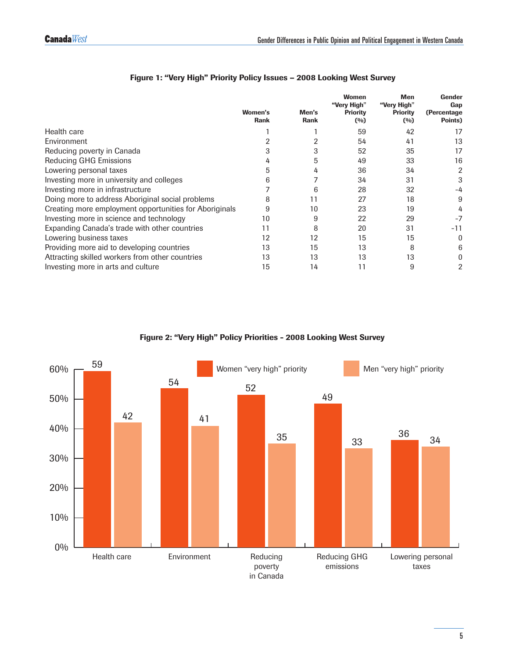|                                                        | Women's<br><b>Rank</b> | Men's<br><b>Rank</b> | <b>Women</b><br>"Very High"<br><b>Priority</b><br>(0/0) | <b>Men</b><br>"Very High"<br><b>Priority</b><br>(%) | Gender<br>Gap<br>(Percentage<br>Points) |
|--------------------------------------------------------|------------------------|----------------------|---------------------------------------------------------|-----------------------------------------------------|-----------------------------------------|
| Health care                                            |                        |                      | 59                                                      | 42                                                  | 17                                      |
| Environment                                            |                        |                      | 54                                                      | 41                                                  | 13                                      |
| Reducing poverty in Canada                             |                        | 3                    | 52                                                      | 35                                                  | 17                                      |
| <b>Reducing GHG Emissions</b>                          |                        | 5                    | 49                                                      | 33                                                  | 16                                      |
| Lowering personal taxes                                | 5                      | 4                    | 36                                                      | 34                                                  | 2                                       |
| Investing more in university and colleges              | 6                      |                      | 34                                                      | 31                                                  | 3                                       |
| Investing more in infrastructure                       |                        | 6                    | 28                                                      | 32                                                  | -4                                      |
| Doing more to address Aboriginal social problems       | 8                      | 11                   | 27                                                      | 18                                                  | 9                                       |
| Creating more employment opportunities for Aboriginals | 9                      | 10                   | 23                                                      | 19                                                  | 4                                       |
| Investing more in science and technology               | 10                     | 9                    | 22                                                      | 29                                                  |                                         |
| Expanding Canada's trade with other countries          | 11                     | 8                    | 20                                                      | 31                                                  | -11                                     |
| Lowering business taxes                                | 12                     | 12                   | 15                                                      | 15                                                  | 0                                       |
| Providing more aid to developing countries             | 13                     | 15                   | 13                                                      | 8                                                   | 6                                       |
| Attracting skilled workers from other countries        | 13                     | 13                   | 13                                                      | 13                                                  |                                         |
| Investing more in arts and culture                     | 15                     | 14                   | 11                                                      | 9                                                   | 2                                       |

### Figure 1: "Very High" Priority Policy Issues – 2008 Looking West Survey

Figure 2: "Very High" Policy Priorities - 2008 Looking West Survey

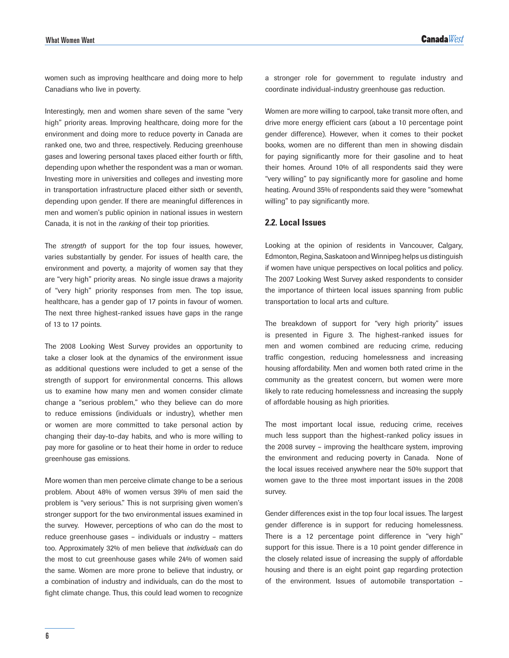women such as improving healthcare and doing more to help Canadians who live in poverty.

Interestingly, men and women share seven of the same "very high" priority areas. Improving healthcare, doing more for the environment and doing more to reduce poverty in Canada are ranked one, two and three, respectively. Reducing greenhouse gases and lowering personal taxes placed either fourth or fifth, depending upon whether the respondent was a man or woman. Investing more in universities and colleges and investing more in transportation infrastructure placed either sixth or seventh, depending upon gender. If there are meaningful differences in men and women's public opinion in national issues in western Canada, it is not in the *ranking* of their top priorities.

The *strength* of support for the top four issues, however, varies substantially by gender. For issues of health care, the environment and poverty, a majority of women say that they are "very high" priority areas. No single issue draws a majority of "very high" priority responses from men. The top issue, healthcare, has a gender gap of 17 points in favour of women. The next three highest-ranked issues have gaps in the range of 13 to 17 points.

The 2008 Looking West Survey provides an opportunity to take a closer look at the dynamics of the environment issue as additional questions were included to get a sense of the strength of support for environmental concerns. This allows us to examine how many men and women consider climate change a "serious problem," who they believe can do more to reduce emissions (individuals or industry), whether men or women are more committed to take personal action by changing their day-to-day habits, and who is more willing to pay more for gasoline or to heat their home in order to reduce greenhouse gas emissions.

More women than men perceive climate change to be a serious problem. About 48% of women versus 39% of men said the problem is "very serious." This is not surprising given women's stronger support for the two environmental issues examined in the survey. However, perceptions of who can do the most to reduce greenhouse gases – individuals or industry – matters too. Approximately 32% of men believe that *individuals* can do the most to cut greenhouse gases while 24% of women said the same. Women are more prone to believe that industry, or a combination of industry and individuals, can do the most to fight climate change. Thus, this could lead women to recognize

a stronger role for government to regulate industry and coordinate individual-industry greenhouse gas reduction.

Women are more willing to carpool, take transit more often, and drive more energy efficient cars (about a 10 percentage point gender difference). However, when it comes to their pocket books, women are no different than men in showing disdain for paying significantly more for their gasoline and to heat their homes. Around 10% of all respondents said they were "very willing" to pay significantly more for gasoline and home heating. Around 35% of respondents said they were "somewhat willing" to pay significantly more.

### **2.2. Local Issues**

Looking at the opinion of residents in Vancouver, Calgary, Edmonton, Regina, Saskatoon and Winnipeg helps us distinguish if women have unique perspectives on local politics and policy. The 2007 Looking West Survey asked respondents to consider the importance of thirteen local issues spanning from public transportation to local arts and culture.

The breakdown of support for "very high priority" issues is presented in Figure 3. The highest-ranked issues for men and women combined are reducing crime, reducing traffic congestion, reducing homelessness and increasing housing affordability. Men and women both rated crime in the community as the greatest concern, but women were more likely to rate reducing homelessness and increasing the supply of affordable housing as high priorities.

The most important local issue, reducing crime, receives much less support than the highest-ranked policy issues in the 2008 survey – improving the healthcare system, improving the environment and reducing poverty in Canada. None of the local issues received anywhere near the 50% support that women gave to the three most important issues in the 2008 survey.

Gender differences exist in the top four local issues. The largest gender difference is in support for reducing homelessness. There is a 12 percentage point difference in "very high" support for this issue. There is a 10 point gender difference in the closely related issue of increasing the supply of affordable housing and there is an eight point gap regarding protection of the environment. Issues of automobile transportation –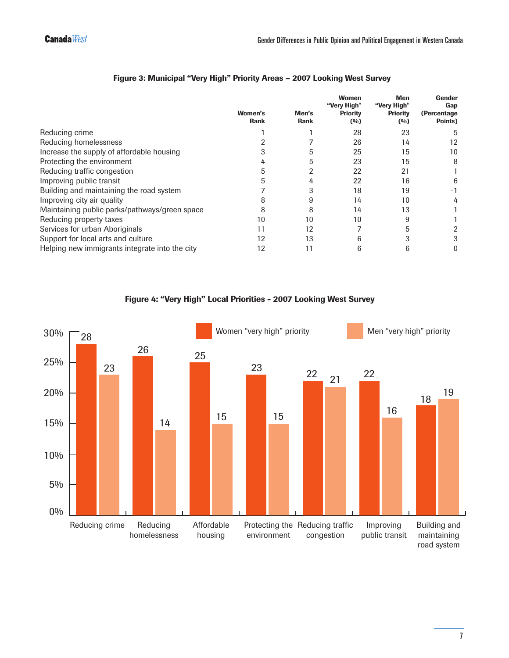|                                                | <b>Women's</b><br><b>Rank</b> | Men's<br><b>Rank</b> | <b>Women</b><br>"Very High"<br><b>Priority</b><br>(%) | <b>Men</b><br>"Very High"<br><b>Priority</b><br>(%) | Gender<br>Gap<br>(Percentage)<br>Points) |
|------------------------------------------------|-------------------------------|----------------------|-------------------------------------------------------|-----------------------------------------------------|------------------------------------------|
| Reducing crime                                 |                               |                      | 28                                                    | 23                                                  | 5                                        |
| Reducing homelessness                          |                               |                      | 26                                                    | 14                                                  | 12                                       |
| Increase the supply of affordable housing      |                               | 5                    | 25                                                    | 15                                                  | 10                                       |
| Protecting the environment                     |                               |                      | 23                                                    | 15                                                  | 8                                        |
| Reducing traffic congestion                    |                               |                      | 22                                                    | 21                                                  |                                          |
| Improving public transit                       |                               |                      | 22                                                    | 16                                                  | 6                                        |
| Building and maintaining the road system       |                               |                      | 18                                                    | 19                                                  | - 1                                      |
| Improving city air quality                     |                               |                      | 14                                                    | 10                                                  | 4                                        |
| Maintaining public parks/pathways/green space  | 8                             | 8                    | 14                                                    | 13                                                  |                                          |
| Reducing property taxes                        | 10                            | 10                   | 10                                                    | 9                                                   |                                          |
| Services for urban Aboriginals                 | 11                            | 12                   |                                                       |                                                     |                                          |
| Support for local arts and culture             | 12                            | 13                   |                                                       |                                                     | 3                                        |
| Helping new immigrants integrate into the city | 12                            | 11                   | 6                                                     | 6                                                   |                                          |

### Figure 3: Municipal "Very High" Priority Areas – 2007 Looking West Survey

Figure 4: "Very High" Local Priorities - 2007 Looking West Survey

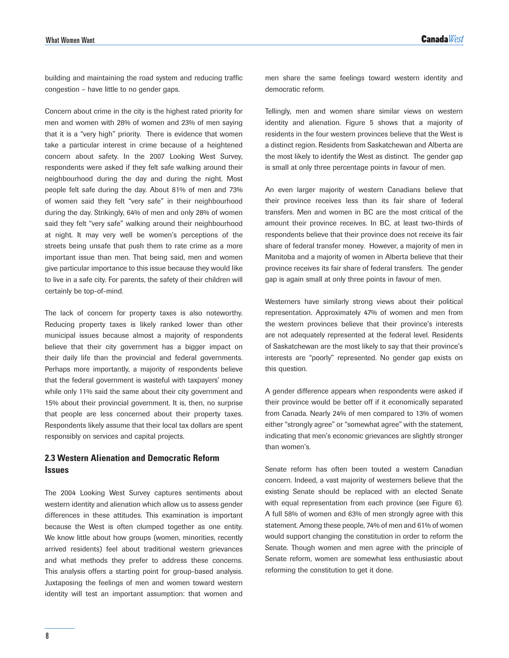building and maintaining the road system and reducing traffic congestion – have little to no gender gaps.

Concern about crime in the city is the highest rated priority for men and women with 28% of women and 23% of men saying that it is a "very high" priority. There is evidence that women take a particular interest in crime because of a heightened concern about safety. In the 2007 Looking West Survey, respondents were asked if they felt safe walking around their neighbourhood during the day and during the night. Most people felt safe during the day. About 81% of men and 73% of women said they felt "very safe" in their neighbourhood during the day. Strikingly, 64% of men and only 28% of women said they felt "very safe" walking around their neighbourhood at night. It may very well be women's perceptions of the streets being unsafe that push them to rate crime as a more important issue than men. That being said, men and women give particular importance to this issue because they would like to live in a safe city. For parents, the safety of their children will certainly be top-of-mind.

The lack of concern for property taxes is also noteworthy. Reducing property taxes is likely ranked lower than other municipal issues because almost a majority of respondents believe that their city government has a bigger impact on their daily life than the provincial and federal governments. Perhaps more importantly, a majority of respondents believe that the federal government is wasteful with taxpayers' money while only 11% said the same about their city government and 15% about their provincial government. It is, then, no surprise that people are less concerned about their property taxes. Respondents likely assume that their local tax dollars are spent responsibly on services and capital projects.

### **2.3 Western Alienation and Democratic Reform Issues**

The 2004 Looking West Survey captures sentiments about western identity and alienation which allow us to assess gender differences in these attitudes. This examination is important because the West is often clumped together as one entity. We know little about how groups (women, minorities, recently arrived residents) feel about traditional western grievances and what methods they prefer to address these concerns. This analysis offers a starting point for group-based analysis. Juxtaposing the feelings of men and women toward western identity will test an important assumption: that women and

men share the same feelings toward western identity and democratic reform.

Tellingly, men and women share similar views on western identity and alienation. Figure 5 shows that a majority of residents in the four western provinces believe that the West is a distinct region. Residents from Saskatchewan and Alberta are the most likely to identify the West as distinct. The gender gap is small at only three percentage points in favour of men.

An even larger majority of western Canadians believe that their province receives less than its fair share of federal transfers. Men and women in BC are the most critical of the amount their province receives. In BC, at least two-thirds of respondents believe that their province does not receive its fair share of federal transfer money. However, a majority of men in Manitoba and a majority of women in Alberta believe that their province receives its fair share of federal transfers. The gender gap is again small at only three points in favour of men.

Westerners have similarly strong views about their political representation. Approximately 47% of women and men from the western provinces believe that their province's interests are not adequately represented at the federal level. Residents of Saskatchewan are the most likely to say that their province's interests are "poorly" represented. No gender gap exists on this question.

A gender difference appears when respondents were asked if their province would be better off if it economically separated from Canada. Nearly 24% of men compared to 13% of women either "strongly agree" or "somewhat agree" with the statement, indicating that men's economic grievances are slightly stronger than women's.

Senate reform has often been touted a western Canadian concern. Indeed, a vast majority of westerners believe that the existing Senate should be replaced with an elected Senate with equal representation from each province (see Figure 6). A full 58% of women and 63% of men strongly agree with this statement. Among these people, 74% of men and 61% of women would support changing the constitution in order to reform the Senate. Though women and men agree with the principle of Senate reform, women are somewhat less enthusiastic about reforming the constitution to get it done.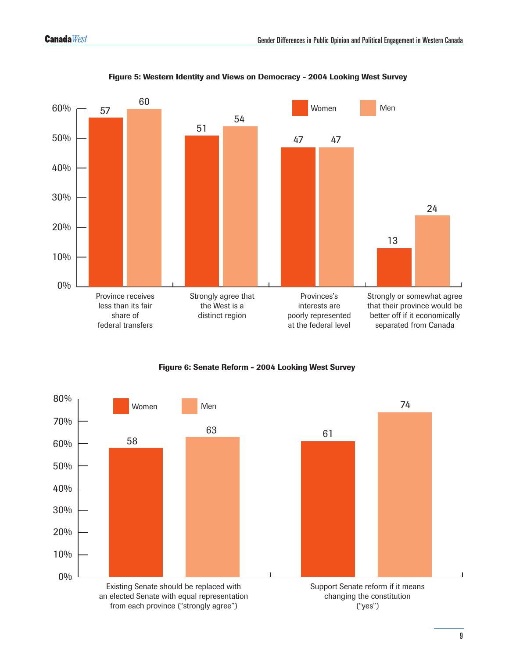

Figure 5: Western Identity and Views on Democracy - 2004 Looking West Survey

Figure 6: Senate Reform - 2004 Looking West Survey

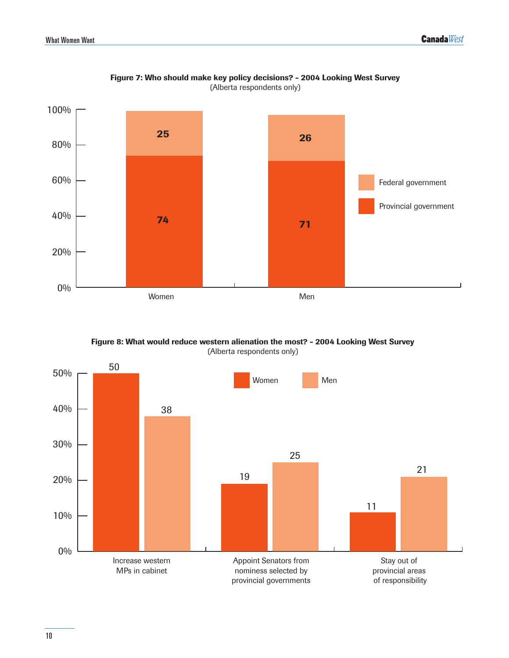

Figure 7: Who should make key policy decisions? - 2004 Looking West Survey (Alberta respondents only)

Figure 8: What would reduce western alienation the most? - 2004 Looking West Survey (Alberta respondents only)

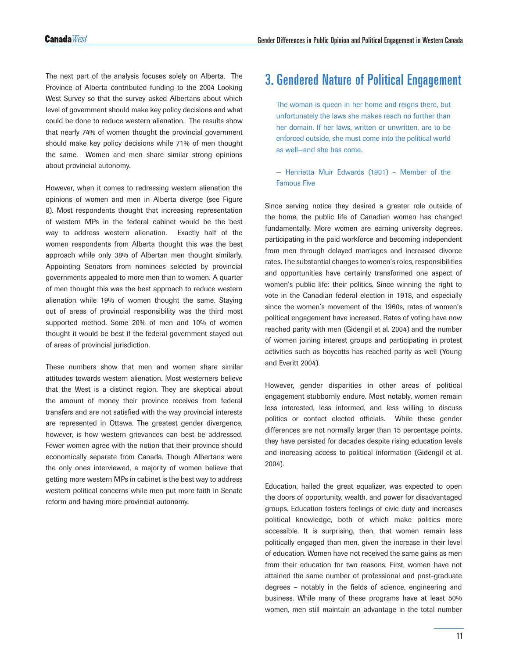The next part of the analysis focuses solely on Alberta. The Province of Alberta contributed funding to the 2004 Looking West Survey so that the survey asked Albertans about which level of government should make key policy decisions and what could be done to reduce western alienation. The results show that nearly 74% of women thought the provincial government should make key policy decisions while 71% of men thought the same. Women and men share similar strong opinions about provincial autonomy.

However, when it comes to redressing western alienation the opinions of women and men in Alberta diverge (see Figure 8). Most respondents thought that increasing representation of western MPs in the federal cabinet would be the best way to address western alienation. Exactly half of the women respondents from Alberta thought this was the best approach while only 38% of Albertan men thought similarly. Appointing Senators from nominees selected by provincial governments appealed to more men than to women. A quarter of men thought this was the best approach to reduce western alienation while 19% of women thought the same. Staying out of areas of provincial responsibility was the third most supported method. Some 20% of men and 10% of women thought it would be best if the federal government stayed out of areas of provincial jurisdiction.

These numbers show that men and women share similar attitudes towards western alienation. Most westerners believe that the West is a distinct region. They are skeptical about the amount of money their province receives from federal transfers and are not satisfied with the way provincial interests are represented in Ottawa. The greatest gender divergence, however, is how western grievances can best be addressed. Fewer women agree with the notion that their province should economically separate from Canada. Though Albertans were the only ones interviewed, a majority of women believe that getting more western MPs in cabinet is the best way to address western political concerns while men put more faith in Senate reform and having more provincial autonomy.

## 3. Gendered Nature of Political Engagement

The woman is queen in her home and reigns there, but unfortunately the laws she makes reach no further than her domain. If her laws, written or unwritten, are to be enforced outside, she must come into the political world as well—and she has come.

### — Henrietta Muir Edwards (1901) – Member of the Famous Five

Since serving notice they desired a greater role outside of the home, the public life of Canadian women has changed fundamentally. More women are earning university degrees, participating in the paid workforce and becoming independent from men through delayed marriages and increased divorce rates. The substantial changes to women's roles, responsibilities and opportunities have certainly transformed one aspect of women's public life: their politics. Since winning the right to vote in the Canadian federal election in 1918, and especially since the women's movement of the 1960s, rates of women's political engagement have increased. Rates of voting have now reached parity with men (Gidengil et al. 2004) and the number of women joining interest groups and participating in protest activities such as boycotts has reached parity as well (Young and Everitt 2004).

However, gender disparities in other areas of political engagement stubbornly endure. Most notably, women remain less interested, less informed, and less willing to discuss politics or contact elected officials. While these gender differences are not normally larger than 15 percentage points, they have persisted for decades despite rising education levels and increasing access to political information (Gidengil et al. 2004).

Education, hailed the great equalizer, was expected to open the doors of opportunity, wealth, and power for disadvantaged groups. Education fosters feelings of civic duty and increases political knowledge, both of which make politics more accessible. It is surprising, then, that women remain less politically engaged than men, given the increase in their level of education. Women have not received the same gains as men from their education for two reasons. First, women have not attained the same number of professional and post-graduate degrees – notably in the fields of science, engineering and business. While many of these programs have at least 50% women, men still maintain an advantage in the total number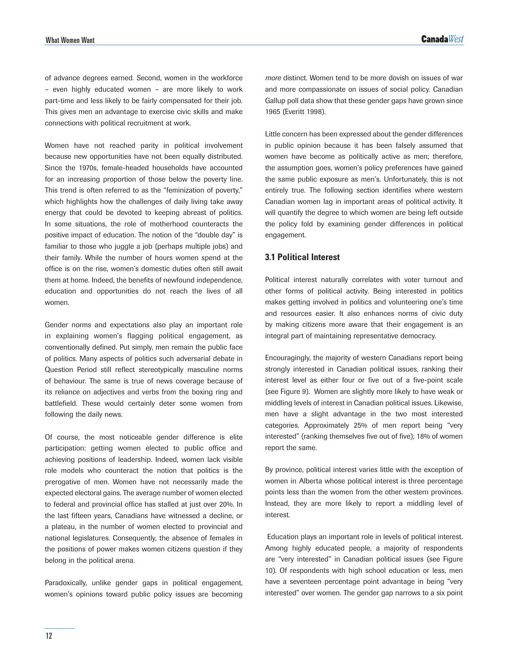of advance degrees earned. Second, women in the workforce – even highly educated women – are more likely to work part-time and less likely to be fairly compensated for their job. This gives men an advantage to exercise civic skills and make connections with political recruitment at work.

Women have not reached parity in political involvement because new opportunities have not been equally distributed. Since the 1970s, female-headed households have accounted for an increasing proportion of those below the poverty line. This trend is often referred to as the "feminization of poverty," which highlights how the challenges of daily living take away energy that could be devoted to keeping abreast of politics. In some situations, the role of motherhood counteracts the positive impact of education. The notion of the "double day" is familiar to those who juggle a job (perhaps multiple jobs) and their family. While the number of hours women spend at the office is on the rise, women's domestic duties often still await them at home. Indeed, the benefits of newfound independence, education and opportunities do not reach the lives of all women.

Gender norms and expectations also play an important role in explaining women's flagging political engagement, as conventionally defined. Put simply, men remain the public face of politics. Many aspects of politics such adversarial debate in Question Period still reflect stereotypically masculine norms of behaviour. The same is true of news coverage because of its reliance on adjectives and verbs from the boxing ring and battlefield. These would certainly deter some women from following the daily news.

Of course, the most noticeable gender difference is elite participation: getting women elected to public office and achieving positions of leadership. Indeed, women lack visible role models who counteract the notion that politics is the prerogative of men. Women have not necessarily made the expected electoral gains. The average number of women elected to federal and provincial office has stalled at just over 20%. In the last fifteen years, Canadians have witnessed a decline, or a plateau, in the number of women elected to provincial and national legislatures. Consequently, the absence of females in the positions of power makes women citizens question if they belong in the political arena.

Paradoxically, unlike gender gaps in political engagement, women's opinions toward public policy issues are becoming *more* distinct. Women tend to be more dovish on issues of war and more compassionate on issues of social policy. Canadian Gallup poll data show that these gender gaps have grown since 1965 (Everitt 1998).

Little concern has been expressed about the gender differences in public opinion because it has been falsely assumed that women have become as politically active as men; therefore, the assumption goes, women's policy preferences have gained the same public exposure as men's. Unfortunately, this is not entirely true. The following section identifies where western Canadian women lag in important areas of political activity. It will quantify the degree to which women are being left outside the policy fold by examining gender differences in political engagement.

### **3.1 Political Interest**

Political interest naturally correlates with voter turnout and other forms of political activity. Being interested in politics makes getting involved in politics and volunteering one's time and resources easier. It also enhances norms of civic duty by making citizens more aware that their engagement is an integral part of maintaining representative democracy.

Encouragingly, the majority of western Canadians report being strongly interested in Canadian political issues, ranking their interest level as either four or five out of a five-point scale (see Figure 9). Women are slightly more likely to have weak or middling levels of interest in Canadian political issues. Likewise, men have a slight advantage in the two most interested categories. Approximately 25% of men report being "very interested" (ranking themselves five out of five); 18% of women report the same.

By province, political interest varies little with the exception of women in Alberta whose political interest is three percentage points less than the women from the other western provinces. Instead, they are more likely to report a middling level of interest.

 Education plays an important role in levels of political interest. Among highly educated people, a majority of respondents are "very interested" in Canadian political issues (see Figure 10). Of respondents with high school education or less, men have a seventeen percentage point advantage in being "very interested" over women. The gender gap narrows to a six point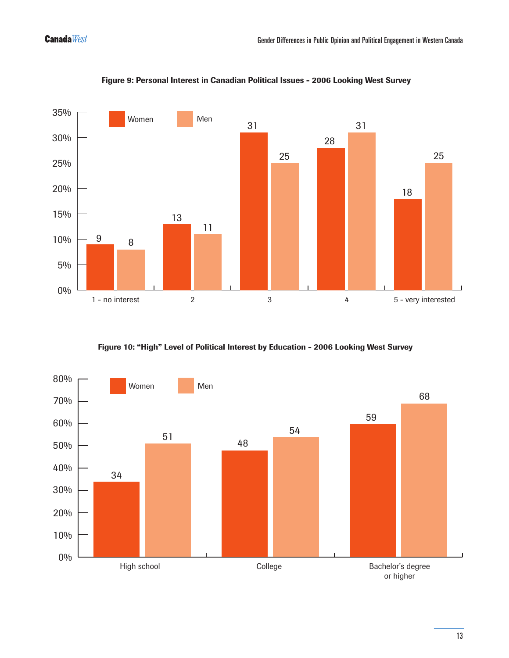

Figure 9: Personal Interest in Canadian Political Issues - 2006 Looking West Survey

Figure 10: "High" Level of Political Interest by Education - 2006 Looking West Survey

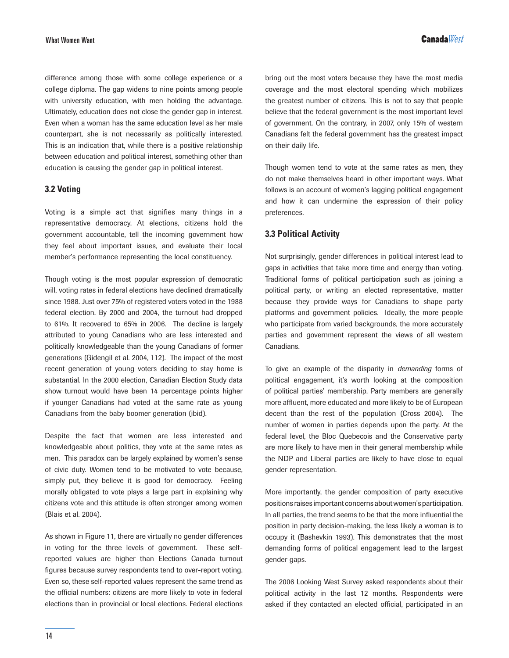difference among those with some college experience or a college diploma. The gap widens to nine points among people with university education, with men holding the advantage. Ultimately, education does not close the gender gap in interest. Even when a woman has the same education level as her male counterpart, she is not necessarily as politically interested. This is an indication that, while there is a positive relationship between education and political interest, something other than education is causing the gender gap in political interest.

### **3.2 Voting**

Voting is a simple act that signifies many things in a representative democracy. At elections, citizens hold the government accountable, tell the incoming government how they feel about important issues, and evaluate their local member's performance representing the local constituency.

Though voting is the most popular expression of democratic will, voting rates in federal elections have declined dramatically since 1988. Just over 75% of registered voters voted in the 1988 federal election. By 2000 and 2004, the turnout had dropped to 61%. It recovered to 65% in 2006. The decline is largely attributed to young Canadians who are less interested and politically knowledgeable than the young Canadians of former generations (Gidengil et al. 2004, 112). The impact of the most recent generation of young voters deciding to stay home is substantial. In the 2000 election, Canadian Election Study data show turnout would have been 14 percentage points higher if younger Canadians had voted at the same rate as young Canadians from the baby boomer generation (ibid).

Despite the fact that women are less interested and knowledgeable about politics, they vote at the same rates as men. This paradox can be largely explained by women's sense of civic duty. Women tend to be motivated to vote because, simply put, they believe it is good for democracy. Feeling morally obligated to vote plays a large part in explaining why citizens vote and this attitude is often stronger among women (Blais et al. 2004).

As shown in Figure 11, there are virtually no gender differences in voting for the three levels of government. These selfreported values are higher than Elections Canada turnout figures because survey respondents tend to over-report voting. Even so, these self-reported values represent the same trend as the official numbers: citizens are more likely to vote in federal elections than in provincial or local elections. Federal elections

bring out the most voters because they have the most media coverage and the most electoral spending which mobilizes the greatest number of citizens. This is not to say that people believe that the federal government is the most important level of government. On the contrary, in 2007, only 15% of western Canadians felt the federal government has the greatest impact on their daily life.

Though women tend to vote at the same rates as men, they do not make themselves heard in other important ways. What follows is an account of women's lagging political engagement and how it can undermine the expression of their policy preferences.

### **3.3 Political Activity**

Not surprisingly, gender differences in political interest lead to gaps in activities that take more time and energy than voting. Traditional forms of political participation such as joining a political party, or writing an elected representative, matter because they provide ways for Canadians to shape party platforms and government policies. Ideally, the more people who participate from varied backgrounds, the more accurately parties and government represent the views of all western Canadians.

To give an example of the disparity in *demanding* forms of political engagement, it's worth looking at the composition of political parties' membership. Party members are generally more affluent, more educated and more likely to be of European decent than the rest of the population (Cross 2004). The number of women in parties depends upon the party. At the federal level, the Bloc Quebecois and the Conservative party are more likely to have men in their general membership while the NDP and Liberal parties are likely to have close to equal gender representation.

More importantly, the gender composition of party executive positions raises important concerns about women's participation. In all parties, the trend seems to be that the more influential the position in party decision-making, the less likely a woman is to occupy it (Bashevkin 1993). This demonstrates that the most demanding forms of political engagement lead to the largest gender gaps.

The 2006 Looking West Survey asked respondents about their political activity in the last 12 months. Respondents were asked if they contacted an elected official, participated in an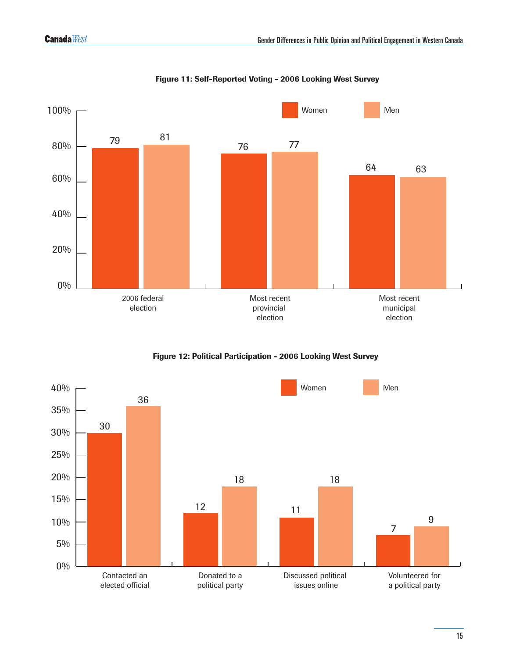

Figure 11: Self-Reported Voting - 2006 Looking West Survey

Figure 12: Political Participation - 2006 Looking West Survey

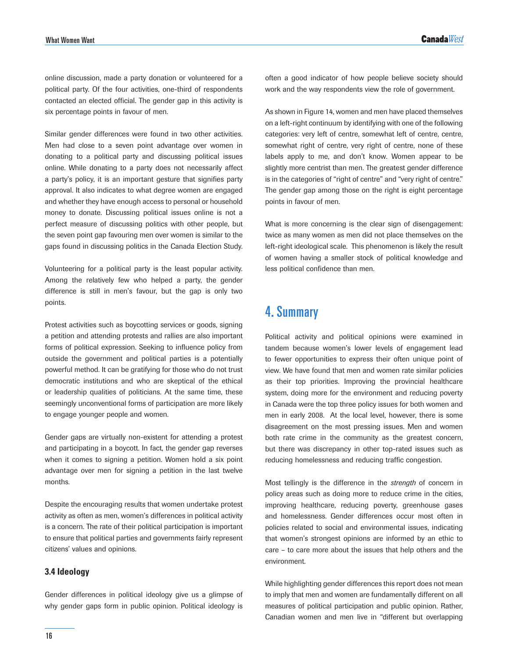online discussion, made a party donation or volunteered for a political party. Of the four activities, one-third of respondents contacted an elected official. The gender gap in this activity is six percentage points in favour of men.

Similar gender differences were found in two other activities. Men had close to a seven point advantage over women in donating to a political party and discussing political issues online. While donating to a party does not necessarily affect a party's policy, it is an important gesture that signifies party approval. It also indicates to what degree women are engaged and whether they have enough access to personal or household money to donate. Discussing political issues online is not a perfect measure of discussing politics with other people, but the seven point gap favouring men over women is similar to the gaps found in discussing politics in the Canada Election Study.

Volunteering for a political party is the least popular activity. Among the relatively few who helped a party, the gender difference is still in men's favour, but the gap is only two points.

Protest activities such as boycotting services or goods, signing a petition and attending protests and rallies are also important forms of political expression. Seeking to influence policy from outside the government and political parties is a potentially powerful method. It can be gratifying for those who do not trust democratic institutions and who are skeptical of the ethical or leadership qualities of politicians. At the same time, these seemingly unconventional forms of participation are more likely to engage younger people and women.

Gender gaps are virtually non-existent for attending a protest and participating in a boycott. In fact, the gender gap reverses when it comes to signing a petition. Women hold a six point advantage over men for signing a petition in the last twelve months.

Despite the encouraging results that women undertake protest activity as often as men, women's differences in political activity is a concern. The rate of their political participation is important to ensure that political parties and governments fairly represent citizens' values and opinions.

### **3.4 Ideology**

Gender differences in political ideology give us a glimpse of why gender gaps form in public opinion. Political ideology is

often a good indicator of how people believe society should work and the way respondents view the role of government.

As shown in Figure 14, women and men have placed themselves on a left-right continuum by identifying with one of the following categories: very left of centre, somewhat left of centre, centre, somewhat right of centre, very right of centre, none of these labels apply to me, and don't know. Women appear to be slightly more centrist than men. The greatest gender difference is in the categories of "right of centre" and "very right of centre." The gender gap among those on the right is eight percentage points in favour of men.

What is more concerning is the clear sign of disengagement: twice as many women as men did not place themselves on the left-right ideological scale. This phenomenon is likely the result of women having a smaller stock of political knowledge and less political confidence than men.

### 4. Summary

Political activity and political opinions were examined in tandem because women's lower levels of engagement lead to fewer opportunities to express their often unique point of view. We have found that men and women rate similar policies as their top priorities. Improving the provincial healthcare system, doing more for the environment and reducing poverty in Canada were the top three policy issues for both women and men in early 2008. At the local level, however, there is some disagreement on the most pressing issues. Men and women both rate crime in the community as the greatest concern, but there was discrepancy in other top-rated issues such as reducing homelessness and reducing traffic congestion.

Most tellingly is the difference in the *strength* of concern in policy areas such as doing more to reduce crime in the cities, improving healthcare, reducing poverty, greenhouse gases and homelessness. Gender differences occur most often in policies related to social and environmental issues, indicating that women's strongest opinions are informed by an ethic to care – to care more about the issues that help others and the environment.

While highlighting gender differences this report does not mean to imply that men and women are fundamentally different on all measures of political participation and public opinion. Rather, Canadian women and men live in "different but overlapping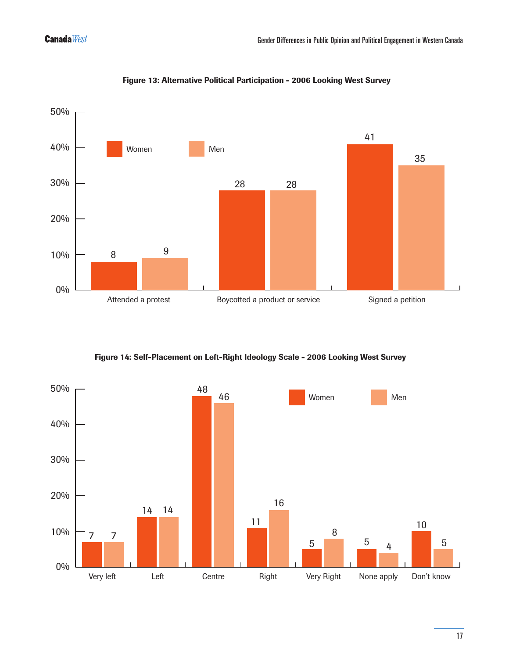

### Figure 13: Alternative Political Participation - 2006 Looking West Survey

Figure 14: Self-Placement on Left-Right Ideology Scale - 2006 Looking West Survey

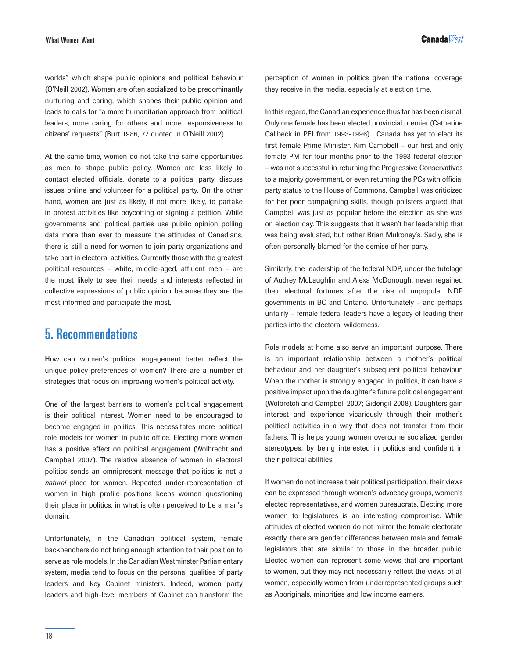worlds" which shape public opinions and political behaviour (O'Neill 2002). Women are often socialized to be predominantly nurturing and caring, which shapes their public opinion and leads to calls for "a more humanitarian approach from political leaders, more caring for others and more responsiveness to citizens' requests" (Burt 1986, 77 quoted in O'Neill 2002).

At the same time, women do not take the same opportunities as men to shape public policy. Women are less likely to contact elected officials, donate to a political party, discuss issues online and volunteer for a political party. On the other hand, women are just as likely, if not more likely, to partake in protest activities like boycotting or signing a petition. While governments and political parties use public opinion polling data more than ever to measure the attitudes of Canadians, there is still a need for women to join party organizations and take part in electoral activities. Currently those with the greatest political resources – white, middle-aged, affluent men – are the most likely to see their needs and interests reflected in collective expressions of public opinion because they are the most informed and participate the most.

### 5. Recommendations

How can women's political engagement better reflect the unique policy preferences of women? There are a number of strategies that focus on improving women's political activity.

One of the largest barriers to women's political engagement is their political interest. Women need to be encouraged to become engaged in politics. This necessitates more political role models for women in public office. Electing more women has a positive effect on political engagement (Wolbrecht and Campbell 2007). The relative absence of women in electoral politics sends an omnipresent message that politics is not a *natural* place for women. Repeated under-representation of women in high profile positions keeps women questioning their place in politics, in what is often perceived to be a man's domain.

Unfortunately, in the Canadian political system, female backbenchers do not bring enough attention to their position to serve as role models. In the Canadian Westminster Parliamentary system, media tend to focus on the personal qualities of party leaders and key Cabinet ministers. Indeed, women party leaders and high-level members of Cabinet can transform the perception of women in politics given the national coverage they receive in the media, especially at election time.

In this regard, the Canadian experience thus far has been dismal. Only one female has been elected provincial premier (Catherine Callbeck in PEI from 1993-1996). Canada has yet to elect its first female Prime Minister. Kim Campbell – our first and only female PM for four months prior to the 1993 federal election – was not successful in returning the Progressive Conservatives to a majority government, or even returning the PCs with official party status to the House of Commons. Campbell was criticized for her poor campaigning skills, though pollsters argued that Campbell was just as popular before the election as she was on election day. This suggests that it wasn't her leadership that was being evaluated, but rather Brian Mulroney's. Sadly, she is often personally blamed for the demise of her party.

Similarly, the leadership of the federal NDP, under the tutelage of Audrey McLaughlin and Alexa McDonough, never regained their electoral fortunes after the rise of unpopular NDP governments in BC and Ontario. Unfortunately – and perhaps unfairly – female federal leaders have a legacy of leading their parties into the electoral wilderness.

Role models at home also serve an important purpose. There is an important relationship between a mother's political behaviour and her daughter's subsequent political behaviour. When the mother is strongly engaged in politics, it can have a positive impact upon the daughter's future political engagement (Wolbretch and Campbell 2007; Gidengil 2008). Daughters gain interest and experience vicariously through their mother's political activities in a way that does not transfer from their fathers. This helps young women overcome socialized gender stereotypes: by being interested in politics and confident in their political abilities.

If women do not increase their political participation, their views can be expressed through women's advocacy groups, women's elected representatives, and women bureaucrats. Electing more women to legislatures is an interesting compromise. While attitudes of elected women do not mirror the female electorate exactly, there are gender differences between male and female legislators that are similar to those in the broader public. Elected women can represent some views that are important to women, but they may not necessarily reflect the views of all women, especially women from underrepresented groups such as Aboriginals, minorities and low income earners.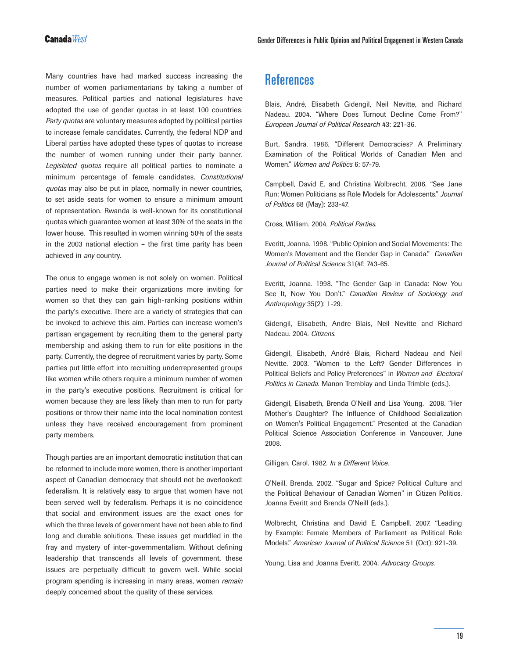Many countries have had marked success increasing the number of women parliamentarians by taking a number of measures. Political parties and national legislatures have adopted the use of gender quotas in at least 100 countries. *Party quotas* are voluntary measures adopted by political parties to increase female candidates. Currently, the federal NDP and Liberal parties have adopted these types of quotas to increase the number of women running under their party banner. *Legislated quotas* require all political parties to nominate a minimum percentage of female candidates. *Constitutional quotas* may also be put in place, normally in newer countries, to set aside seats for women to ensure a minimum amount of representation. Rwanda is well-known for its constitutional quotas which guarantee women at least 30% of the seats in the lower house. This resulted in women winning 50% of the seats in the 2003 national election – the first time parity has been achieved in *any* country.

The onus to engage women is not solely on women. Political parties need to make their organizations more inviting for women so that they can gain high-ranking positions within the party's executive. There are a variety of strategies that can be invoked to achieve this aim. Parties can increase women's partisan engagement by recruiting them to the general party membership and asking them to run for elite positions in the party. Currently, the degree of recruitment varies by party. Some parties put little effort into recruiting underrepresented groups like women while others require a minimum number of women in the party's executive positions. Recruitment is critical for women because they are less likely than men to run for party positions or throw their name into the local nomination contest unless they have received encouragement from prominent party members.

Though parties are an important democratic institution that can be reformed to include more women, there is another important aspect of Canadian democracy that should not be overlooked: federalism. It is relatively easy to argue that women have not been served well by federalism. Perhaps it is no coincidence that social and environment issues are the exact ones for which the three levels of government have not been able to find long and durable solutions. These issues get muddled in the fray and mystery of inter-governmentalism. Without defining leadership that transcends all levels of government, these issues are perpetually difficult to govern well. While social program spending is increasing in many areas, women *remain* deeply concerned about the quality of these services.

## **References**

Blais, André, Elisabeth Gidengil, Neil Nevitte, and Richard Nadeau. 2004. "Where Does Turnout Decline Come From?" *European Journal of Political Research* 43: 221-36.

Burt, Sandra. 1986. "Different Democracies? A Preliminary Examination of the Political Worlds of Canadian Men and Women." *Women and Politics* 6: 57-79.

Campbell, David E. and Christina Wolbrecht. 2006. "See Jane Run: Women Politicians as Role Models for Adolescents." *Journal of Politics* 68 (May): 233-47.

Cross, William. 2004. *Political Parties.*

Everitt, Joanna. 1998. "Public Opinion and Social Movements: The Women's Movement and the Gender Gap in Canada." *Canadian Journal of Political Science* 31(4f: 743-65.

Everitt, Joanna. 1998. "The Gender Gap in Canada: Now You See It, Now You Don't." *Canadian Review of Sociology and Anthropology* 35(2): 1-29.

Gidengil, Elisabeth, Andre Blais, Neil Nevitte and Richard Nadeau. 2004. *Citizens.*

Gidengil, Elisabeth, André Blais, Richard Nadeau and Neil Nevitte. 2003. "Women to the Left? Gender Differences in Political Beliefs and Policy Preferences" in *Women and Electoral Politics in Canada.* Manon Tremblay and Linda Trimble (eds.).

Gidengil, Elisabeth, Brenda O'Neill and Lisa Young. 2008. "Her Mother's Daughter? The Influence of Childhood Socialization on Women's Political Engagement." Presented at the Canadian Political Science Association Conference in Vancouver, June 2008.

Gilligan, Carol. 1982. *In a Different Voice.*

O'Neill, Brenda. 2002. "Sugar and Spice? Political Culture and the Political Behaviour of Canadian Women" in Citizen Politics. Joanna Everitt and Brenda O'Neill (eds.).

Wolbrecht, Christina and David E. Campbell. 2007. "Leading by Example: Female Members of Parliament as Political Role Models." *American Journal of Political Science* 51 (Oct): 921-39.

Young, Lisa and Joanna Everitt. 2004. *Advocacy Groups.*